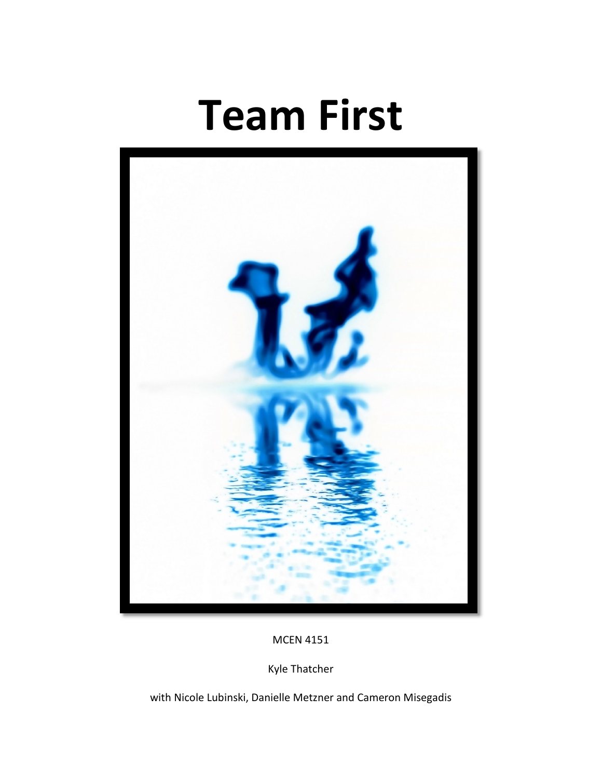## **Team First**



## MCEN 4151

Kyle Thatcher

with Nicole Lubinski, Danielle Metzner and Cameron Misegadis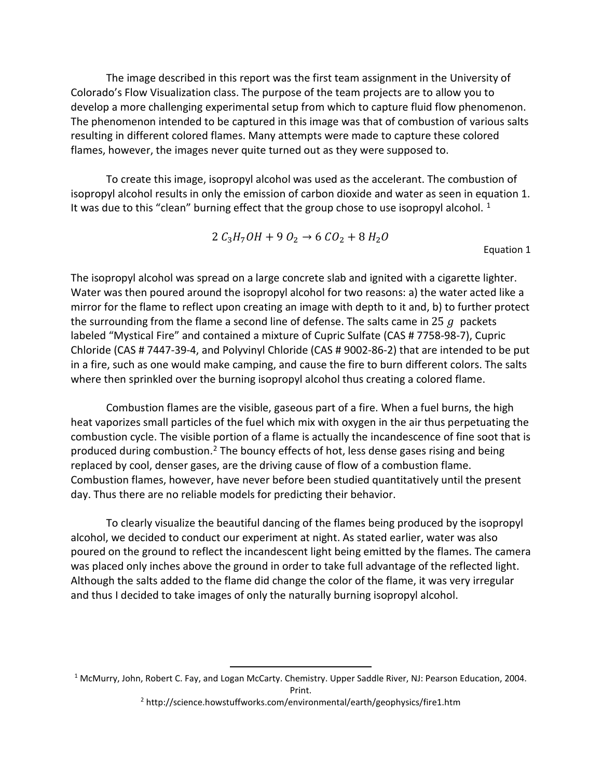The image described in this report was the first team assignment in the University of Colorado's Flow Visualization class. The purpose of the team projects are to allow you to develop a more challenging experimental setup from which to capture fluid flow phenomenon. The phenomenon intended to be captured in this image was that of combustion of various salts resulting in different colored flames. Many attempts were made to capture these colored flames, however, the images never quite turned out as they were supposed to.

To create this image, isopropyl alcohol was used as the accelerant. The combustion of isopropyl alcohol results in only the emission of carbon dioxide and water as seen in equation 1. It was due to this "clean" burning effect that the group chose to use isopropyl alcohol.  $1$ 

$$
2 C_3 H_7OH + 9 O_2 \rightarrow 6 CO_2 + 8 H_2 O
$$

Equation 1

The isopropyl alcohol was spread on a large concrete slab and ignited with a cigarette lighter. Water was then poured around the isopropyl alcohol for two reasons: a) the water acted like a mirror for the flame to reflect upon creating an image with depth to it and, b) to further protect the surrounding from the flame a second line of defense. The salts came in 25  $q$  packets labeled "Mystical Fire" and contained a mixture of Cupric Sulfate (CAS # 7758-98-7), Cupric Chloride (CAS # 7447-39-4, and Polyvinyl Chloride (CAS # 9002-86-2) that are intended to be put in a fire, such as one would make camping, and cause the fire to burn different colors. The salts where then sprinkled over the burning isopropyl alcohol thus creating a colored flame.

Combustion flames are the visible, gaseous part of a fire. When a fuel burns, the high heat vaporizes small particles of the fuel which mix with oxygen in the air thus perpetuating the combustion cycle. The visible portion of a flame is actually the incandescence of fine soot that is produced during combustion.[2](#page-1-1) The bouncy effects of hot, less dense gases rising and being replaced by cool, denser gases, are the driving cause of flow of a combustion flame. Combustion flames, however, have never before been studied quantitatively until the present day. Thus there are no reliable models for predicting their behavior.

To clearly visualize the beautiful dancing of the flames being produced by the isopropyl alcohol, we decided to conduct our experiment at night. As stated earlier, water was also poured on the ground to reflect the incandescent light being emitted by the flames. The camera was placed only inches above the ground in order to take full advantage of the reflected light. Although the salts added to the flame did change the color of the flame, it was very irregular and thus I decided to take images of only the naturally burning isopropyl alcohol.

<span id="page-1-1"></span><span id="page-1-0"></span> <sup>1</sup> McMurry, John, Robert C. Fay, and Logan McCarty. Chemistry. Upper Saddle River, NJ: Pearson Education, 2004. Print.

<sup>&</sup>lt;sup>2</sup> http://science.howstuffworks.com/environmental/earth/geophysics/fire1.htm